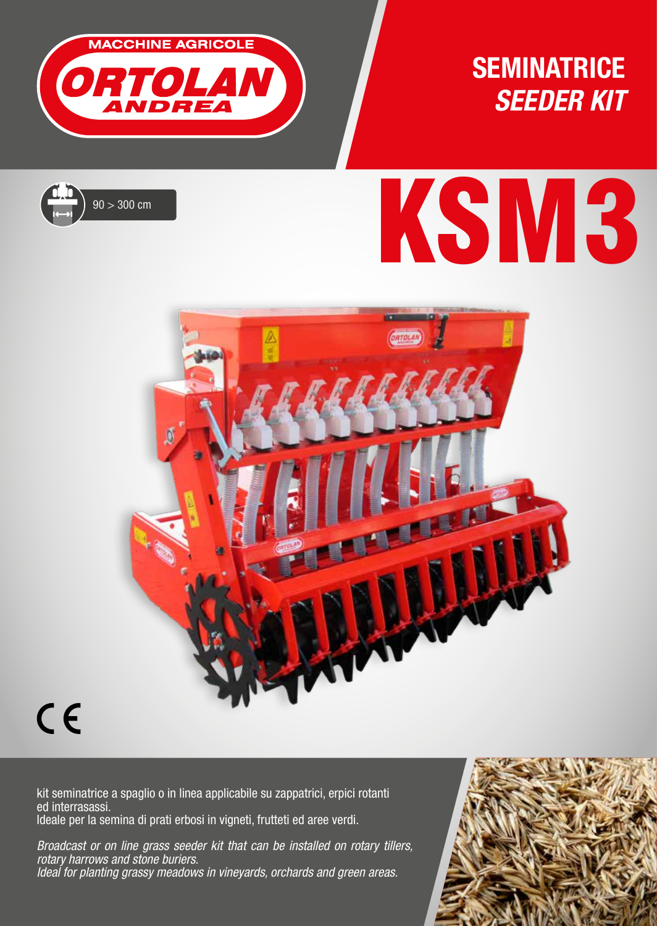

### **SEMINATRICE** *SEEDER KIT*



# $90 > 300 \text{ cm}$



## $C \in$

kit seminatrice a spaglio o in linea applicabile su zappatrici, erpici rotanti ed interrasassi. Ideale per la semina di prati erbosi in vigneti, frutteti ed aree verdi.

*Broadcast or on line grass seeder kit that can be installed on rotary tillers, rotary harrows and stone buriers. Ideal for planting grassy meadows in vineyards, orchards and green areas.*